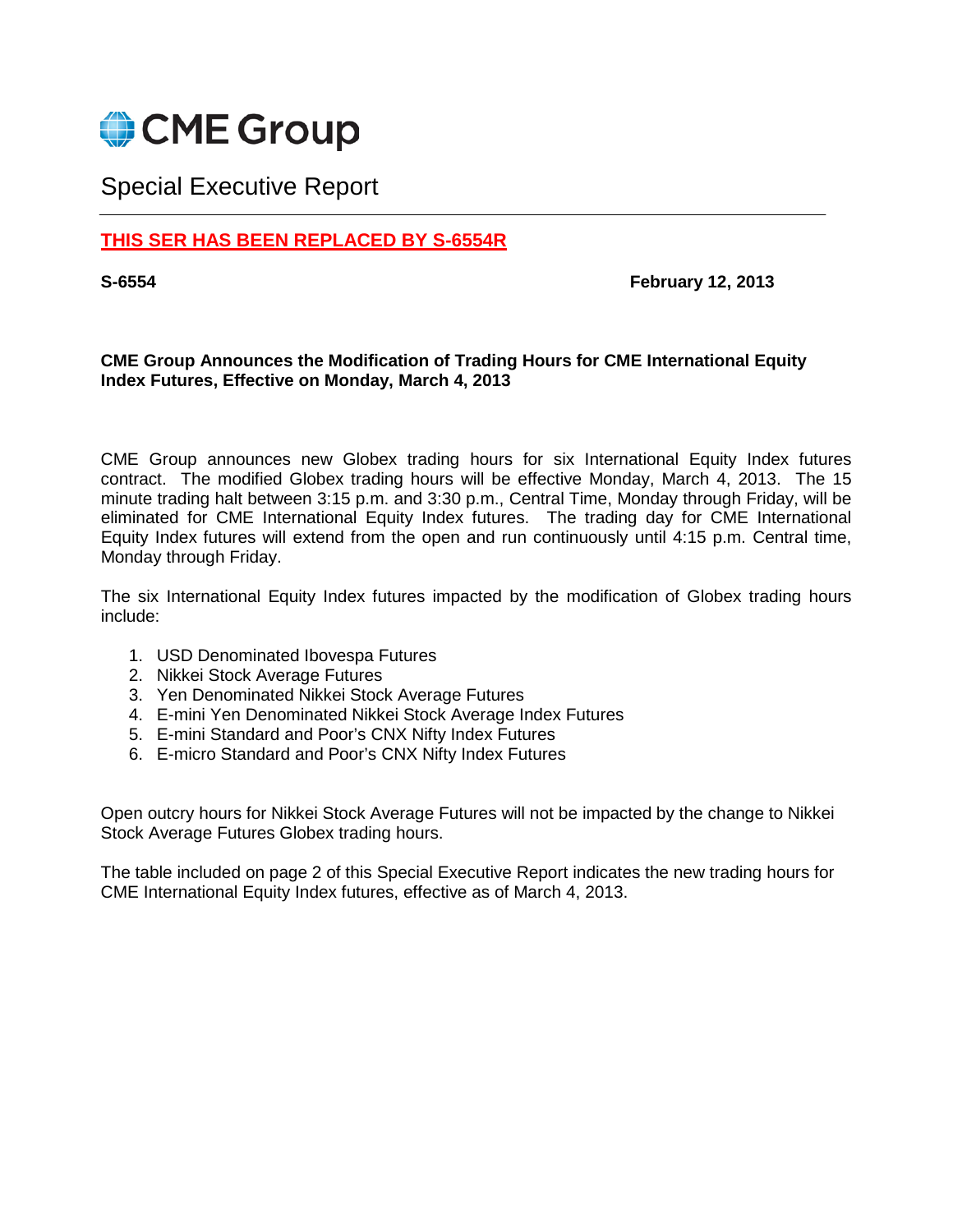

## Special Executive Report

## **THIS SER HAS BEEN REPLACED BY S-6554R**

**S-6554 February 12, 2013**

## **CME Group Announces the Modification of Trading Hours for CME International Equity Index Futures, Effective on Monday, March 4, 2013**

CME Group announces new Globex trading hours for six International Equity Index futures contract. The modified Globex trading hours will be effective Monday, March 4, 2013. The 15 minute trading halt between 3:15 p.m. and 3:30 p.m., Central Time, Monday through Friday, will be eliminated for CME International Equity Index futures. The trading day for CME International Equity Index futures will extend from the open and run continuously until 4:15 p.m. Central time, Monday through Friday.

The six International Equity Index futures impacted by the modification of Globex trading hours include:

- 1. USD Denominated Ibovespa Futures
- 2. Nikkei Stock Average Futures
- 3. Yen Denominated Nikkei Stock Average Futures
- 4. E-mini Yen Denominated Nikkei Stock Average Index Futures
- 5. E-mini Standard and Poor's CNX Nifty Index Futures
- 6. E-micro Standard and Poor's CNX Nifty Index Futures

Open outcry hours for Nikkei Stock Average Futures will not be impacted by the change to Nikkei Stock Average Futures Globex trading hours.

The table included on page 2 of this Special Executive Report indicates the new trading hours for CME International Equity Index futures, effective as of March 4, 2013.